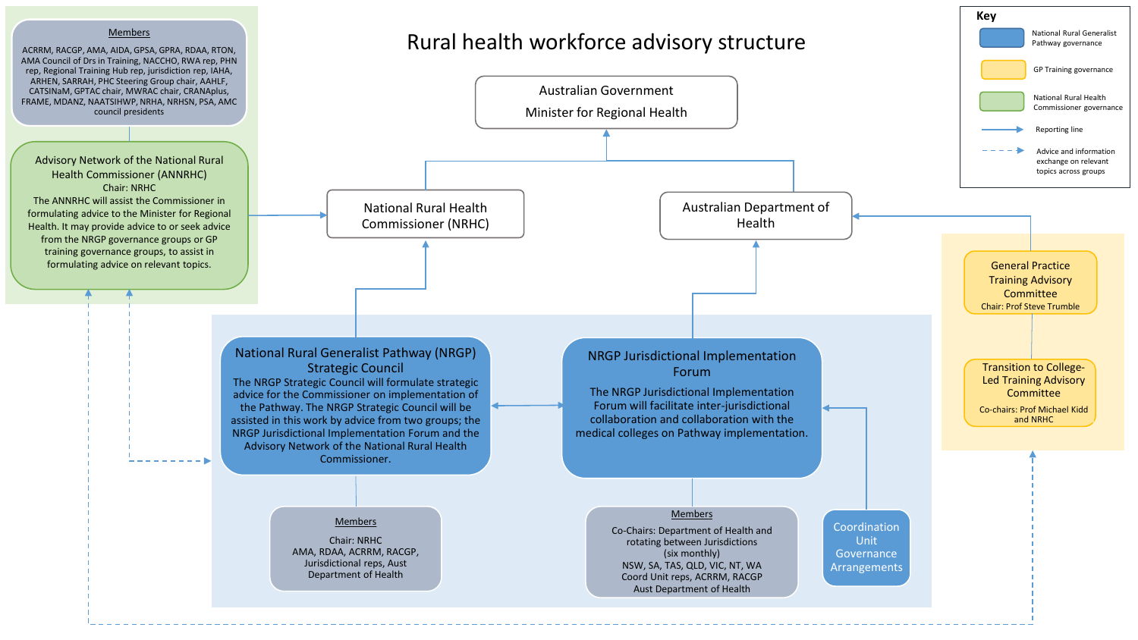